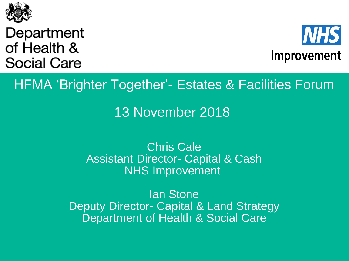

Department of Health & **Social Care** 



HFMA 'Brighter Together'- Estates & Facilities Forum

13 November 2018

Chris Cale Assistant Director- Capital & Cash NHS Improvement

Ian Stone Deputy Director- Capital & Land Strategy Department of Health & Social Care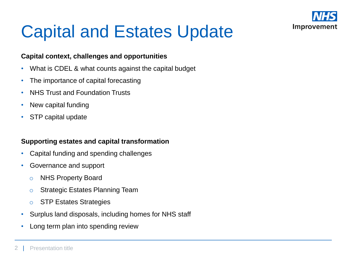

# Capital and Estates Update

#### **Capital context, challenges and opportunities**

- What is CDEL & what counts against the capital budget
- The importance of capital forecasting
- NHS Trust and Foundation Trusts
- New capital funding
- STP capital update

#### **Supporting estates and capital transformation**

- Capital funding and spending challenges
- Governance and support
	- o NHS Property Board
	- o Strategic Estates Planning Team
	- o STP Estates Strategies
- Surplus land disposals, including homes for NHS staff
- Long term plan into spending review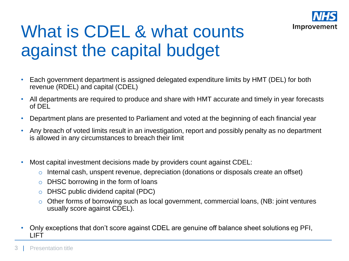

# What is CDEL & what counts against the capital budget

- Each government department is assigned delegated expenditure limits by HMT (DEL) for both revenue (RDEL) and capital (CDEL)
- All departments are required to produce and share with HMT accurate and timely in year forecasts of DEL
- Department plans are presented to Parliament and voted at the beginning of each financial year
- Any breach of voted limits result in an investigation, report and possibly penalty as no department is allowed in any circumstances to breach their limit
- Most capital investment decisions made by providers count against CDEL:
	- o Internal cash, unspent revenue, depreciation (donations or disposals create an offset)
	- o DHSC borrowing in the form of loans
	- o DHSC public dividend capital (PDC)
	- o Other forms of borrowing such as local government, commercial loans, (NB: joint ventures usually score against CDEL).
- Only exceptions that don't score against CDEL are genuine off balance sheet solutions eg PFI, LIFT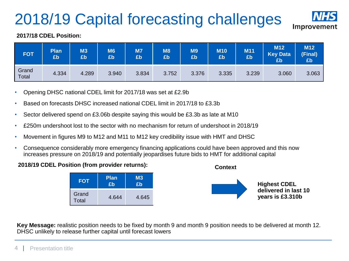## 2018/19 Capital forecasting challenges



#### **2017/18 CDEL Position:**

| <b>FOT</b>     | <b>Plan</b><br>£b | M3<br>£b | M6<br>£b | M7<br>£b | <b>M8</b><br>£b | M9<br>£b | <b>M10</b><br>£b | M11<br>Eb | M <sub>12</sub><br><b>Key Data</b><br>£b | <b>M12</b><br>(Final)<br>£b |
|----------------|-------------------|----------|----------|----------|-----------------|----------|------------------|-----------|------------------------------------------|-----------------------------|
| Grand<br>Total | 4.334             | 4.289    | 3.940    | 3.834    | 3.752           | 3.376    | 3.335            | 3.239     | 3.060                                    | 3.063                       |

- Opening DHSC national CDEL limit for 2017/18 was set at £2.9b
- Based on forecasts DHSC increased national CDEL limit in 2017/18 to £3.3b
- Sector delivered spend on £3.06b despite saying this would be £3.3b as late at M10
- £250m undershoot lost to the sector with no mechanism for return of undershoot in 2018/19
- Movement in figures M9 to M12 and M11 to M12 key credibility issue with HMT and DHSC
- Consequence considerably more emergency financing applications could have been approved and this now increases pressure on 2018/19 and potentially jeopardises future bids to HMT for additional capital
- **2018/19 CDEL Position (from provider returns):**





**Key Message:** realistic position needs to be fixed by month 9 and month 9 position needs to be delivered at month 12. DHSC unlikely to release further capital until forecast lowers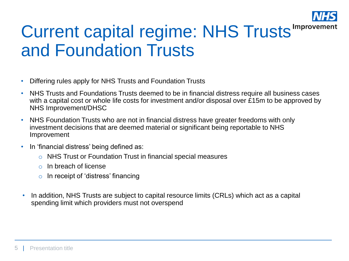

## Current capital regime: NHS Trusts and Foundation Trusts

- Differing rules apply for NHS Trusts and Foundation Trusts
- NHS Trusts and Foundations Trusts deemed to be in financial distress require all business cases with a capital cost or whole life costs for investment and/or disposal over £15m to be approved by NHS Improvement/DHSC
- NHS Foundation Trusts who are not in financial distress have greater freedoms with only investment decisions that are deemed material or significant being reportable to NHS Improvement
- In 'financial distress' being defined as:
	- o NHS Trust or Foundation Trust in financial special measures
	- o In breach of license
	- $\circ$  In receipt of 'distress' financing
- In addition, NHS Trusts are subject to capital resource limits (CRLs) which act as a capital spending limit which providers must not overspend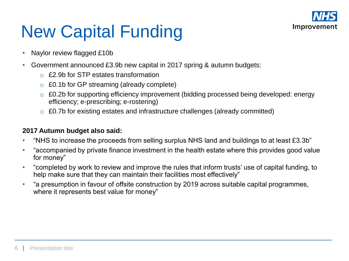

# New Capital Funding

- Naylor review flagged £10b
- Government announced £3.9b new capital in 2017 spring & autumn budgets:
	- o £2.9b for STP estates transformation
	- o £0.1b for GP streaming (already complete)
	- o £0.2b for supporting efficiency improvement (bidding processed being developed: energy efficiency; e-prescribing; e-rostering)
	- o £0.7b for existing estates and infrastructure challenges (already committed)

#### **2017 Autumn budget also said:**

- "NHS to increase the proceeds from selling surplus NHS land and buildings to at least £3.3b"
- "accompanied by private finance investment in the health estate where this provides good value for money"
- "completed by work to review and improve the rules that inform trusts' use of capital funding, to help make sure that they can maintain their facilities most effectively"
- "a presumption in favour of offsite construction by 2019 across suitable capital programmes, where it represents best value for money"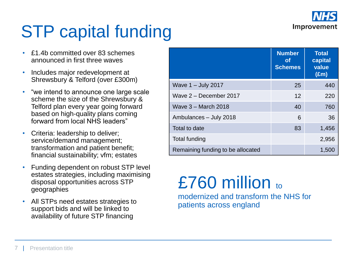

# STP capital funding

- £1.4b committed over 83 schemes announced in first three waves
- Includes major redevelopment at Shrewsbury & Telford (over £300m)
- "we intend to announce one large scale scheme the size of the Shrewsbury & Telford plan every year going forward based on high-quality plans coming forward from local NHS leaders"
- Criteria: leadership to deliver; service/demand management; transformation and patient benefit; financial sustainability; vfm; estates
- Funding dependent on robust STP level estates strategies, including maximising disposal opportunities across STP geographies
- All STPs need estates strategies to support bids and will be linked to availability of future STP financing

|                                   | <b>Number</b><br>Οt<br><b>Schemes</b> | <b>Total</b><br>capital<br>value<br>$(\text{Em})$ |
|-----------------------------------|---------------------------------------|---------------------------------------------------|
| Wave $1 -$ July 2017              | 25                                    | 440                                               |
| Wave $2 -$ December 2017          | 12                                    | 220                                               |
| Wave 3 - March 2018               | 40                                    | 760                                               |
| Ambulances - July 2018            | 6                                     | 36                                                |
| Total to date                     | 83                                    | 1,456                                             |
| Total funding                     |                                       | 2,956                                             |
| Remaining funding to be allocated |                                       | 1,500                                             |

### £760 million to modernized and transform the NHS for patients across england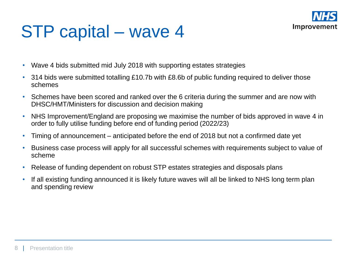

## STP capital – wave 4

- Wave 4 bids submitted mid July 2018 with supporting estates strategies
- 314 bids were submitted totalling £10.7b with £8.6b of public funding required to deliver those schemes
- Schemes have been scored and ranked over the 6 criteria during the summer and are now with DHSC/HMT/Ministers for discussion and decision making
- NHS Improvement/England are proposing we maximise the number of bids approved in wave 4 in order to fully utilise funding before end of funding period (2022/23)
- Timing of announcement anticipated before the end of 2018 but not a confirmed date yet
- Business case process will apply for all successful schemes with requirements subject to value of scheme
- Release of funding dependent on robust STP estates strategies and disposals plans
- If all existing funding announced it is likely future waves will all be linked to NHS long term plan and spending review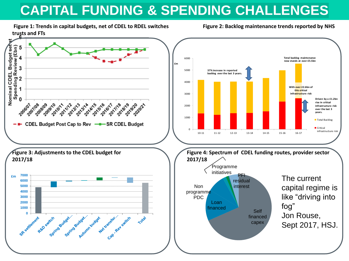## **CAPITAL FUNDING & SPENDING CHALLENGES**

**Figure 1: Trends in capital budgets, net of CDEL to RDEL switches Figure 2: Backlog maintenance trends reported by NHS trusts and FTs**

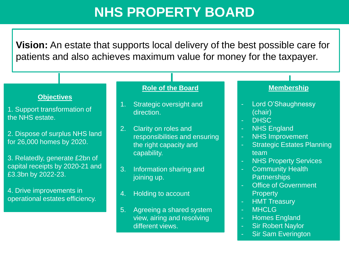### **NHS PROPERTY BOARD**

**Vision:** An estate that supports local delivery of the best possible care for patients and also achieves maximum value for money for the taxpayer.

#### **Objectives**

1. Support transformation of the NHS estate.

2. Dispose of surplus NHS land for 26,000 homes by 2020.

3. Relatedly, generate £2bn of capital receipts by 2020-21 and £3.3bn by 2022-23.

4. Drive improvements in operational estates efficiency.

#### **Role of the Board**

- 1. Strategic oversight and direction.
- 2. Clarity on roles and responsibilities and ensuring the right capacity and capability.
- 3. Information sharing and joining up.
- 4. Holding to account
- 5. Agreeing a shared system view, airing and resolving different views.

#### **Membership**

- Lord O'Shaughnessy (chair)
- DHSC
- **NHS England**
- NHS Improvement
- **Strategic Estates Planning** team
- **NHS Property Services**
- Community Health **Partnerships**
- Office of Government **Property**
- **HMT Treasury**
- MHCLG
- Homes England
- Sir Robert Naylor
- **Sir Sam Everington**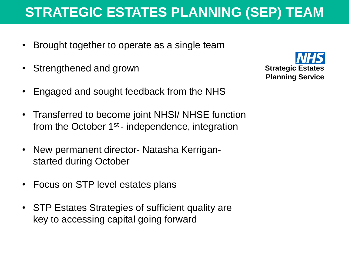### **STRATEGIC ESTATES PLANNING (SEP) TEAM**

- Brought together to operate as a single team
- Strengthened and grown
- Engaged and sought feedback from the NHS
- Transferred to become joint NHSI/ NHSE function from the October  $1<sup>st</sup>$  - independence, integration
- New permanent director- Natasha Kerriganstarted during October
- Focus on STP level estates plans
- STP Estates Strategies of sufficient quality are key to accessing capital going forward

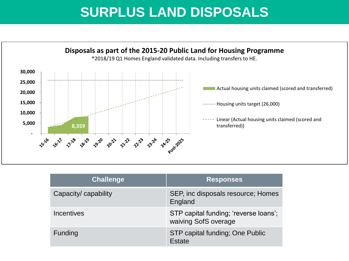### **SURPLUS LAND DISPOSALS**



| <b>Challenge</b>     | <b>Responses</b>                                              |
|----------------------|---------------------------------------------------------------|
| Capacity/ capability | SEP, inc disposals resource; Homes<br>England                 |
| <b>Incentives</b>    | STP capital funding; 'reverse loans';<br>waiving SofS overage |
| Funding              | STP capital funding; One Public<br>Estate                     |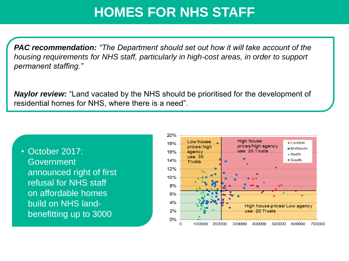### **HOMES FOR NHS STAFF**

*PAC recommendation: "The Department should set out how it will take account of the housing requirements for NHS staff, particularly in high-cost areas, in order to support permanent staffing."*

*Naylor review:* "Land vacated by the NHS should be prioritised for the development of residential homes for NHS, where there is a need".

• October 2017: Government announced right of first refusal for NHS staff on affordable homes build on NHS landbenefitting up to 3000

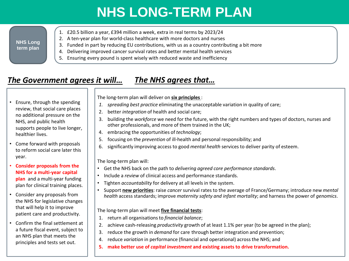## **NHS LONG-TERM PLAN**

#### **NHS Long term plan**

- 1. £20.5 billion a year, £394 million a week, extra in real terms by 2023/24
- 2. A ten-year plan for world-class healthcare with more doctors and nurses
- 3. Funded in part by reducing EU contributions, with us as a country contributing a bit more
- 4. Delivering improved cancer survival rates and better mental health services
- 5. Ensuring every pound is spent wisely with reduced waste and inefficiency

### *The Government agrees it will…*

### *The NHS agrees that…*

• Ensure, through the spending review, that social care places no additional pressure on the NHS, and public health supports people to live longer, healthier lives.

- Come forward with proposals to reform social care later this year.
- **Consider proposals from the NHS for a multi-year capital plan** and a multi-year funding plan for clinical training places.
- Consider any proposals from the NHS for legislative changes that will help it to improve patient care and productivity.
- Confirm the final settlement at a future fiscal event, subject to an NHS plan that meets the principles and tests set out.

The long-term plan will deliver on **six principles** :

- *1. spreading best practice* eliminating the unacceptable variation in quality of care;
- 2. better *integration* of health and social care;
- 3. building the *workforce* we need for the future, with the right numbers and types of doctors, nurses and other professionals, and more of them trained in the UK;
- 4. embracing the opportunities of *technology*;
- 5. focusing on the *prevention* of ill-health and personal responsibility; and
- 6. significantly improving access to good *mental health* services to deliver parity of esteem.

The long-term plan will:

- Get the NHS back on the path to *delivering agreed core performance standards*.
- Include a *review* of clinical access and performance standards.
- Tighten *accountability* for delivery at all levels in the system.
- Support **new priorities**: raise *cancer* survival rates to the average of France/Germany; introduce new *mental health* access standards; improve *maternity safety and infant mortality*; and harness the power of *genomics*.

The long-term plan will meet **five financial tests**:

- 1. return all organisations to *financial balance*;
- 2. achieve cash-releasing *productivity* growth of at least 1.1% per year (to be agreed in the plan);
- 3. reduce the growth in *demand* for care through better integration and prevention;
- 4. reduce *variation* in performance (financial and operational) across the NHS; and
- **5. make better use of** *capital investment* **and existing assets to drive transformation.**